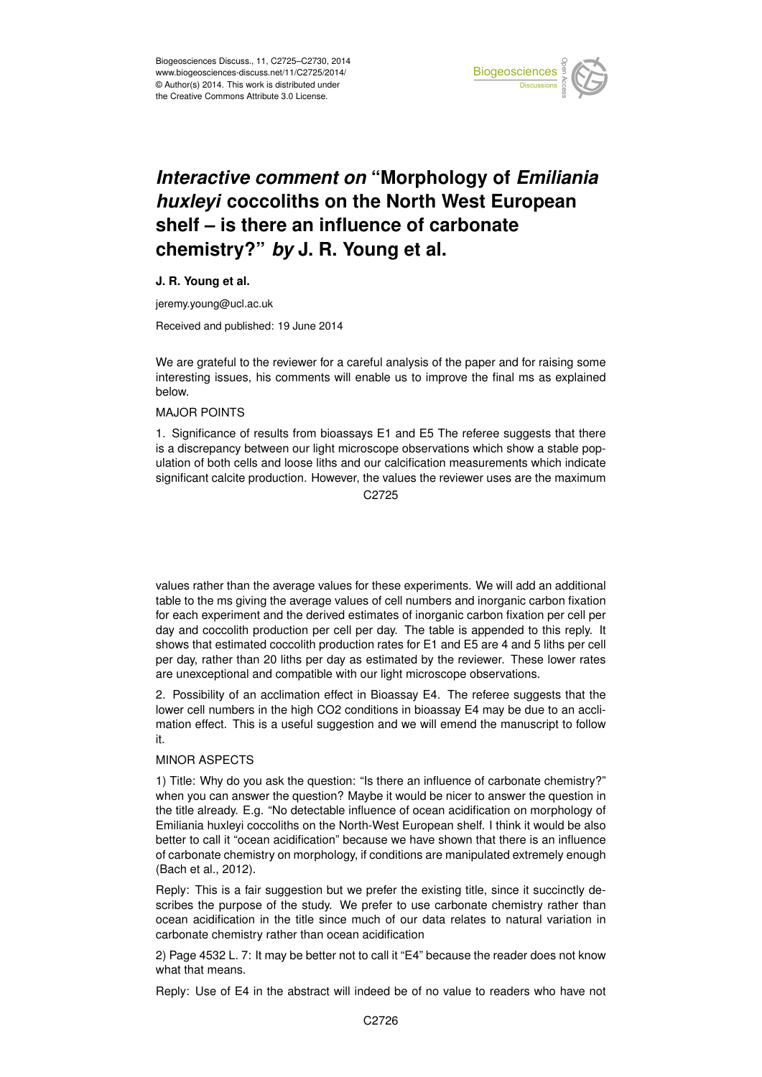

# *Interactive comment on* **"Morphology of** *Emiliania huxleyi* **coccoliths on the North West European shelf – is there an influence of carbonate chemistry?"** *by* **J. R. Young et al.**

#### **J. R. Young et al.**

jeremy.young@ucl.ac.uk

Received and published: 19 June 2014

We are grateful to the reviewer for a careful analysis of the paper and for raising some interesting issues, his comments will enable us to improve the final ms as explained below.

#### MAJOR POINTS

1. Significance of results from bioassays E1 and E5 The referee suggests that there is a discrepancy between our light microscope observations which show a stable population of both cells and loose liths and our calcification measurements which indicate significant calcite production. However, the values the reviewer uses are the maximum

C<sub>2725</sub>

values rather than the average values for these experiments. We will add an additional table to the ms giving the average values of cell numbers and inorganic carbon fixation for each experiment and the derived estimates of inorganic carbon fixation per cell per day and coccolith production per cell per day. The table is appended to this reply. It shows that estimated coccolith production rates for E1 and E5 are 4 and 5 liths per cell per day, rather than 20 liths per day as estimated by the reviewer. These lower rates are unexceptional and compatible with our light microscope observations.

2. Possibility of an acclimation effect in Bioassay E4. The referee suggests that the lower cell numbers in the high CO2 conditions in bioassay E4 may be due to an acclimation effect. This is a useful suggestion and we will emend the manuscript to follow it.

### MINOR ASPECTS

1) Title: Why do you ask the question: "Is there an influence of carbonate chemistry?" when you can answer the question? Maybe it would be nicer to answer the question in the title already. E.g. "No detectable influence of ocean acidification on morphology of Emiliania huxleyi coccoliths on the North-West European shelf. I think it would be also better to call it "ocean acidification" because we have shown that there is an influence of carbonate chemistry on morphology, if conditions are manipulated extremely enough (Bach et al., 2012).

Reply: This is a fair suggestion but we prefer the existing title, since it succinctly describes the purpose of the study. We prefer to use carbonate chemistry rather than ocean acidification in the title since much of our data relates to natural variation in carbonate chemistry rather than ocean acidification

2) Page 4532 L. 7: It may be better not to call it "E4" because the reader does not know what that means.

Reply: Use of E4 in the abstract will indeed be of no value to readers who have not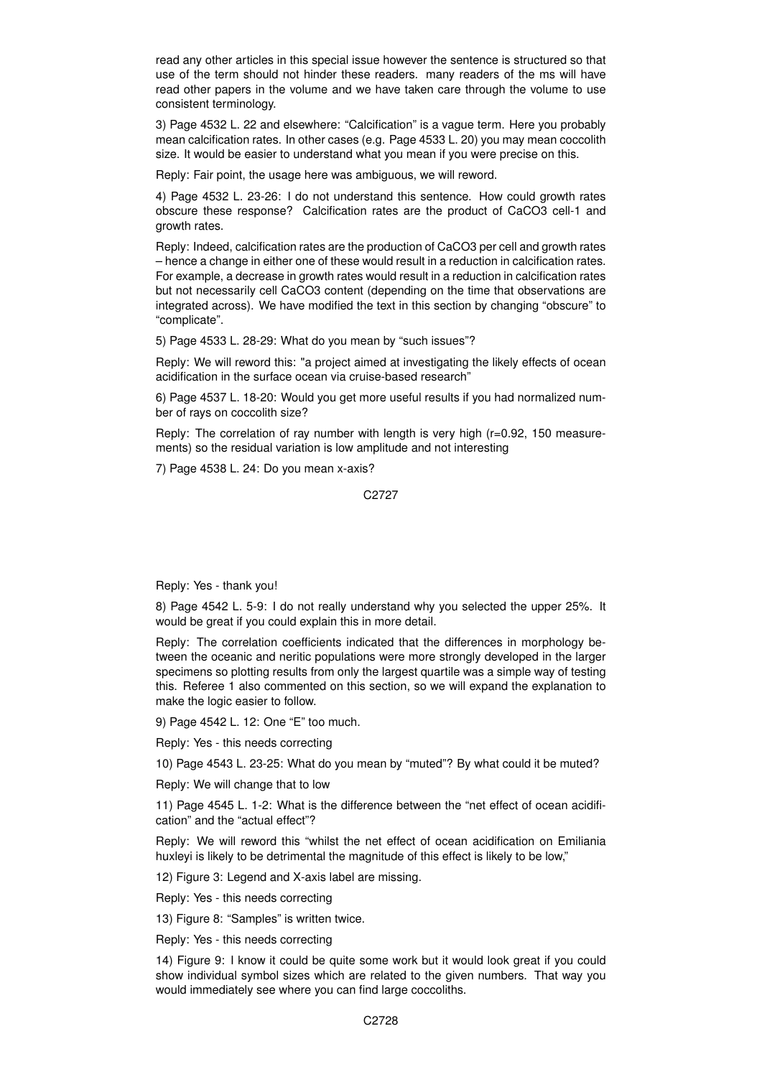read any other articles in this special issue however the sentence is structured so that use of the term should not hinder these readers. many readers of the ms will have read other papers in the volume and we have taken care through the volume to use consistent terminology.

3) Page 4532 L. 22 and elsewhere: "Calcification" is a vague term. Here you probably mean calcification rates. In other cases (e.g. Page 4533 L. 20) you may mean coccolith size. It would be easier to understand what you mean if you were precise on this.

Reply: Fair point, the usage here was ambiguous, we will reword.

4) Page 4532 L. 23-26: I do not understand this sentence. How could growth rates obscure these response? Calcification rates are the product of CaCO3 cell-1 and growth rates.

Reply: Indeed, calcification rates are the production of CaCO3 per cell and growth rates – hence a change in either one of these would result in a reduction in calcification rates. For example, a decrease in growth rates would result in a reduction in calcification rates but not necessarily cell CaCO3 content (depending on the time that observations are integrated across). We have modified the text in this section by changing "obscure" to "complicate".

5) Page 4533 L. 28-29: What do you mean by "such issues"?

Reply: We will reword this: "a project aimed at investigating the likely effects of ocean acidification in the surface ocean via cruise-based research"

6) Page 4537 L. 18-20: Would you get more useful results if you had normalized number of rays on coccolith size?

Reply: The correlation of ray number with length is very high (r=0.92, 150 measurements) so the residual variation is low amplitude and not interesting

7) Page 4538 L. 24: Do you mean x-axis?

C2727

Reply: Yes - thank you!

8) Page 4542 L. 5-9: I do not really understand why you selected the upper 25%. It would be great if you could explain this in more detail.

Reply: The correlation coefficients indicated that the differences in morphology between the oceanic and neritic populations were more strongly developed in the larger specimens so plotting results from only the largest quartile was a simple way of testing this. Referee 1 also commented on this section, so we will expand the explanation to make the logic easier to follow.

9) Page 4542 L. 12: One "E" too much.

Reply: Yes - this needs correcting

10) Page 4543 L. 23-25: What do you mean by "muted"? By what could it be muted?

Reply: We will change that to low

11) Page 4545 L. 1-2: What is the difference between the "net effect of ocean acidification" and the "actual effect"?

Reply: We will reword this "whilst the net effect of ocean acidification on Emiliania huxleyi is likely to be detrimental the magnitude of this effect is likely to be low,"

12) Figure 3: Legend and X-axis label are missing.

Reply: Yes - this needs correcting

13) Figure 8: "Samples" is written twice.

Reply: Yes - this needs correcting

14) Figure 9: I know it could be quite some work but it would look great if you could show individual symbol sizes which are related to the given numbers. That way you would immediately see where you can find large coccoliths.